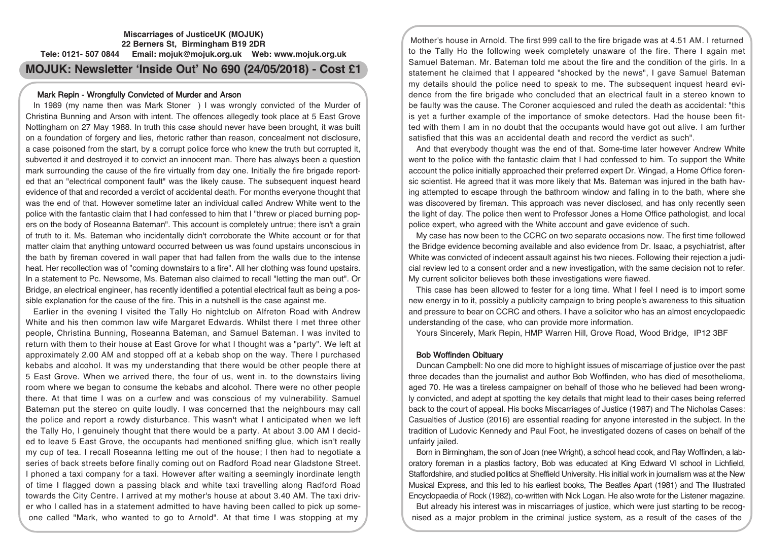# Mark Repin - Wrongfully Convicted of Murder and Arson

In 1989 (my name then was Mark Stoner ) I was wrongly convicted of the Murder of Christina Bunning and Arson with intent. The offences allegedly took place at 5 East Grove Nottingham on 27 May 1988. In truth this case should never have been brought, it was built on a foundation of forgery and lies, rhetoric rather than reason, concealment not disclosure, a case poisoned from the start, by a corrupt police force who knew the truth but corrupted it, subverted it and destroyed it to convict an innocent man. There has always been a question mark surrounding the cause of the fire virtually from day one. Initially the fire brigade reported that an "electrical component fault" was the likely cause. The subsequent inquest heard evidence of that and recorded a verdict of accidental death. For months everyone thought that was the end of that. However sometime later an individual called Andrew White went to the police with the fantastic claim that I had confessed to him that I "threw or placed burning popers on the body of Roseanna Bateman". This account is completely untrue; there isn't a grain of truth to it. Ms. Bateman who incidentally didn't corroborate the White account or for that matter claim that anything untoward occurred between us was found upstairs unconscious in the bath by fireman covered in wall paper that had fallen from the walls due to the intense heat. Her recollection was of "coming downstairs to a fire". All her clothing was found upstairs. In a statement to Pc. Newsome, Ms. Bateman also claimed to recall "letting the man out". Or Bridge, an electrical engineer, has recently identified a potential electrical fault as being a possible explanation for the cause of the fire. This in a nutshell is the case against me.

Earlier in the evening I visited the Tally Ho nightclub on Alfreton Road with Andrew White and his then common law wife Margaret Edwards. Whilst there I met three other people, Christina Bunning, Roseanna Bateman, and Samuel Bateman. I was invited to return with them to their house at East Grove for what I thought was a "party". We left at approximately 2.00 AM and stopped off at a kebab shop on the way. There I purchased kebabs and alcohol. It was my understanding that there would be other people there at 5 East Grove. When we arrived there, the four of us, went in. to the downstairs living room where we began to consume the kebabs and alcohol. There were no other people there. At that time I was on a curfew and was conscious of my vulnerability. Samuel Bateman put the stereo on quite loudly. I was concerned that the neighbours may call the police and report a rowdy disturbance. This wasn't what I anticipated when we left the Tally Ho, I genuinely thought that there would be a party. At about 3.00 AM I decided to leave 5 East Grove, the occupants had mentioned sniffing glue, which isn't really my cup of tea. I recall Roseanna letting me out of the house; I then had to negotiate a series of back streets before finally coming out on Radford Road near Gladstone Street. I phoned a taxi company for a taxi. However after waiting a seemingly inordinate length of time I flagged down a passing black and white taxi travelling along Radford Road towards the City Centre. I arrived at my mother's house at about 3.40 AM. The taxi driver who I called has in a statement admitted to have having been called to pick up someone called "Mark, who wanted to go to Arnold". At that time I was stopping at my

Mother's house in Arnold. The first 999 call to the fire brigade was at 4.51 AM. I returned to the Tally Ho the following week completely unaware of the fire. There I again met Samuel Bateman. Mr. Bateman told me about the fire and the condition of the girls. In a statement he claimed that I appeared "shocked by the news", I gave Samuel Bateman my details should the police need to speak to me. The subsequent inquest heard evidence from the fire brigade who concluded that an electrical fault in a stereo known to be faulty was the cause. The Coroner acquiesced and ruled the death as accidental: "this is yet a further example of the importance of smoke detectors. Had the house been fitted with them I am in no doubt that the occupants would have got out alive. I am further satisfied that this was an accidental death and record the verdict as such".

And that everybody thought was the end of that. Some-time later however Andrew White went to the police with the fantastic claim that I had confessed to him. To support the White account the police initially approached their preferred expert Dr. Wingad, a Home Office forensic scientist. He agreed that it was more likely that Ms. Bateman was injured in the bath having attempted to escape through the bathroom window and falling in to the bath, where she was discovered by fireman. This approach was never disclosed, and has only recently seen the light of day. The police then went to Professor Jones a Home Office pathologist, and local police expert, who agreed with the White account and gave evidence of such.

My case has now been to the CCRC on two separate occasions now. The first time followed the Bridge evidence becoming available and also evidence from Dr. Isaac, a psychiatrist, after White was convicted of indecent assault against his two nieces. Following their rejection a judicial review led to a consent order and a new investigation, with the same decision not to refer. My current solicitor believes both these investigations were fiawed.

This case has been allowed to fester for a long time. What I feel I need is to import some new energy in to it, possibly a publicity campaign to bring people's awareness to this situation and pressure to bear on CCRC and others. I have a solicitor who has an almost encyclopaedic understanding of the case, who can provide more information.

Yours Sincerely, Mark Repin, HMP Warren Hill, Grove Road, Wood Bridge, IP12 3BF

### Bob Woffinden Obituary

Duncan Campbell: No one did more to highlight issues of miscarriage of justice over the past three decades than the journalist and author Bob Woffinden, who has died of mesothelioma, aged 70. He was a tireless campaigner on behalf of those who he believed had been wrongly convicted, and adept at spotting the key details that might lead to their cases being referred back to the court of appeal. His books Miscarriages of Justice (1987) and The Nicholas Cases: Casualties of Justice (2016) are essential reading for anyone interested in the subject. In the tradition of Ludovic Kennedy and Paul Foot, he investigated dozens of cases on behalf of the unfairly jailed.

Born in Birmingham, the son of Joan (nee Wright), a school head cook, and Ray Woffinden, a laboratory foreman in a plastics factory, Bob was educated at King Edward VI school in Lichfield, Staffordshire, and studied politics at Sheffield University. His initial work in journalism was at the New Musical Express, and this led to his earliest books, The Beatles Apart (1981) and The Illustrated Encyclopaedia of Rock (1982), co-written with Nick Logan. He also wrote for the Listener magazine.

But already his interest was in miscarriages of justice, which were just starting to be recognised as a major problem in the criminal justice system, as a result of the cases of the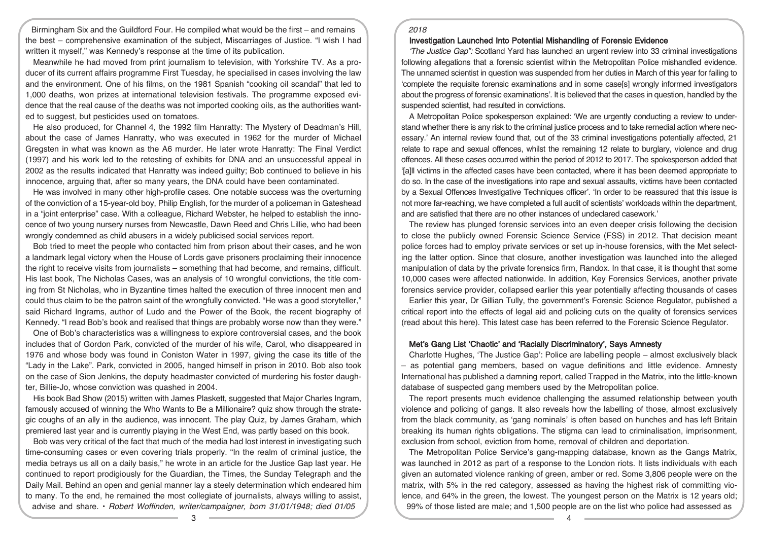Birmingham Six and the Guildford Four. He compiled what would be the first – and remains the best – comprehensive examination of the subject, Miscarriages of Justice. "I wish I had written it myself," was Kennedy's response at the time of its publication.

Meanwhile he had moved from print journalism to television, with Yorkshire TV. As a producer of its current affairs programme First Tuesday, he specialised in cases involving the law and the environment. One of his films, on the 1981 Spanish "cooking oil scandal" that led to 1,000 deaths, won prizes at international television festivals. The programme exposed evidence that the real cause of the deaths was not imported cooking oils, as the authorities wanted to suggest, but pesticides used on tomatoes.

He also produced, for Channel 4, the 1992 film Hanratty: The Mystery of Deadman's Hill, about the case of James Hanratty, who was executed in 1962 for the murder of Michael Gregsten in what was known as the A6 murder. He later wrote Hanratty: The Final Verdict (1997) and his work led to the retesting of exhibits for DNA and an unsuccessful appeal in 2002 as the results indicated that Hanratty was indeed guilty; Bob continued to believe in his innocence, arguing that, after so many years, the DNA could have been contaminated.

He was involved in many other high-profile cases. One notable success was the overturning of the conviction of a 15-year-old boy, Philip English, for the murder of a policeman in Gateshead in a "joint enterprise" case. With a colleague, Richard Webster, he helped to establish the innocence of two young nursery nurses from Newcastle, Dawn Reed and Chris Lillie, who had been wrongly condemned as child abusers in a widely publicised social services report.

Bob tried to meet the people who contacted him from prison about their cases, and he won a landmark legal victory when the House of Lords gave prisoners proclaiming their innocence the right to receive visits from journalists – something that had become, and remains, difficult. His last book, The Nicholas Cases, was an analysis of 10 wrongful convictions, the title coming from St Nicholas, who in Byzantine times halted the execution of three innocent men and could thus claim to be the patron saint of the wrongfully convicted. "He was a good storyteller," said Richard Ingrams, author of Ludo and the Power of the Book, the recent biography of Kennedy. "I read Bob's book and realised that things are probably worse now than they were."

One of Bob's characteristics was a willingness to explore controversial cases, and the book includes that of Gordon Park, convicted of the murder of his wife, Carol, who disappeared in 1976 and whose body was found in Coniston Water in 1997, giving the case its title of the "Lady in the Lake". Park, convicted in 2005, hanged himself in prison in 2010. Bob also took on the case of Sion Jenkins, the deputy headmaster convicted of murdering his foster daughter, Billie-Jo, whose conviction was quashed in 2004.

His book Bad Show (2015) written with James Plaskett, suggested that Major Charles Ingram, famously accused of winning the Who Wants to Be a Millionaire? quiz show through the strategic coughs of an ally in the audience, was innocent. The play Quiz, by James Graham, which premiered last year and is currently playing in the West End, was partly based on this book.

Bob was very critical of the fact that much of the media had lost interest in investigating such time-consuming cases or even covering trials properly. "In the realm of criminal justice, the media betrays us all on a daily basis," he wrote in an article for the Justice Gap last year. He continued to report prodigiously for the Guardian, the Times, the Sunday Telegraph and the Daily Mail. Behind an open and genial manner lay a steely determination which endeared him to many. To the end, he remained the most collegiate of journalists, always willing to assist, advise and share. • Robert Woffinden, writer/campaigner, born 31/01/1948; died 01/05

#### 2018

#### Investigation Launched Into Potential Mishandling of Forensic Evidence

'The Justice Gap": Scotland Yard has launched an urgent review into 33 criminal investigations following allegations that a forensic scientist within the Metropolitan Police mishandled evidence. The unnamed scientist in question was suspended from her duties in March of this year for failing to 'complete the requisite forensic examinations and in some case[s] wrongly informed investigators about the progress of forensic examinations'. It is believed that the cases in question, handled by the suspended scientist, had resulted in convictions.

A Metropolitan Police spokesperson explained: 'We are urgently conducting a review to understand whether there is any risk to the criminal justice process and to take remedial action where necessary.' An internal review found that, out of the 33 criminal investigations potentially affected, 21 relate to rape and sexual offences, whilst the remaining 12 relate to burglary, violence and drug offences. All these cases occurred within the period of 2012 to 2017. The spokesperson added that '[a]ll victims in the affected cases have been contacted, where it has been deemed appropriate to do so. In the case of the investigations into rape and sexual assaults, victims have been contacted by a Sexual Offences Investigative Techniques officer'. 'In order to be reassured that this issue is not more far-reaching, we have completed a full audit of scientists' workloads within the department, and are satisfied that there are no other instances of undeclared casework.'

The review has plunged forensic services into an even deeper crisis following the decision to close the publicly owned Forensic Science Service (FSS) in 2012. That decision meant police forces had to employ private services or set up in-house forensics, with the Met selecting the latter option. Since that closure, another investigation was launched into the alleged manipulation of data by the private forensics firm, Randox. In that case, it is thought that some 10,000 cases were affected nationwide. In addition, Key Forensics Services, another private forensics service provider, collapsed earlier this year potentially affecting thousands of cases

Earlier this year, Dr Gillian Tully, the government's Forensic Science Regulator, published a critical report into the effects of legal aid and policing cuts on the quality of forensics services (read about this here). This latest case has been referred to the Forensic Science Regulator.

# Met's Gang List 'Chaotic' and 'Racially Discriminatory', Says Amnesty

Charlotte Hughes, 'The Justice Gap': Police are labelling people – almost exclusively black – as potential gang members, based on vague definitions and little evidence. Amnesty International has published a damning report, called Trapped in the Matrix, into the little-known database of suspected gang members used by the Metropolitan police.

The report presents much evidence challenging the assumed relationship between youth violence and policing of gangs. It also reveals how the labelling of those, almost exclusively from the black community, as 'gang nominals' is often based on hunches and has left Britain breaking its human rights obligations. The stigma can lead to criminalisation, imprisonment, exclusion from school, eviction from home, removal of children and deportation.

The Metropolitan Police Service's gang-mapping database, known as the Gangs Matrix, was launched in 2012 as part of a response to the London riots. It lists individuals with each given an automated violence ranking of green, amber or red. Some 3,806 people were on the matrix, with 5% in the red category, assessed as having the highest risk of committing violence, and 64% in the green, the lowest. The youngest person on the Matrix is 12 years old; 99% of those listed are male; and 1,500 people are on the list who police had assessed as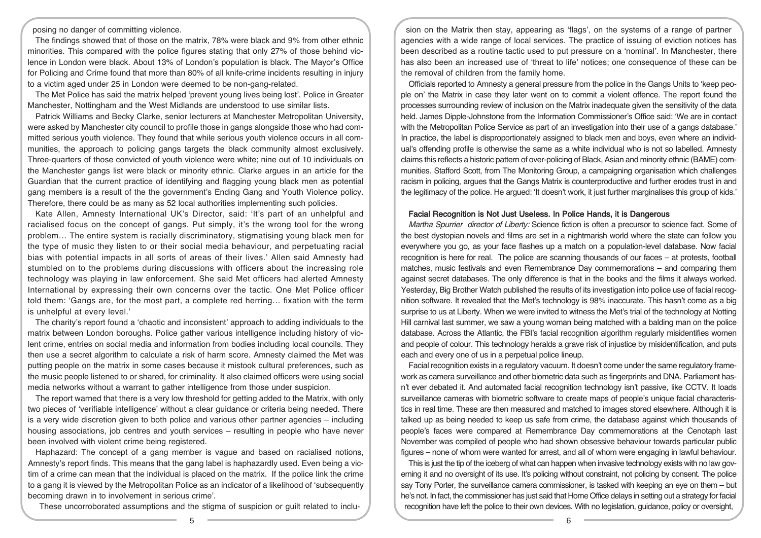posing no danger of committing violence.

The findings showed that of those on the matrix, 78% were black and 9% from other ethnic minorities. This compared with the police figures stating that only 27% of those behind violence in London were black. About 13% of London's population is black. The Mayor's Office for Policing and Crime found that more than 80% of all knife-crime incidents resulting in injury to a victim aged under 25 in London were deemed to be non-gang-related.

The Met Police has said the matrix helped 'prevent young lives being lost'. Police in Greater Manchester, Nottingham and the West Midlands are understood to use similar lists.

Patrick Williams and Becky Clarke, senior lecturers at Manchester Metropolitan University, were asked by Manchester city council to profile those in gangs alongside those who had committed serious youth violence. They found that while serious youth violence occurs in all communities, the approach to policing gangs targets the black community almost exclusively. Three-quarters of those convicted of youth violence were white; nine out of 10 individuals on the Manchester gangs list were black or minority ethnic. Clarke argues in an article for the Guardian that the current practice of identifying and flagging young black men as potential gang members is a result of the the government's Ending Gang and Youth Violence policy. Therefore, there could be as many as 52 local authorities implementing such policies.

Kate Allen, Amnesty International UK's Director, said: 'It's part of an unhelpful and racialised focus on the concept of gangs. Put simply, it's the wrong tool for the wrong problem… The entire system is racially discriminatory, stigmatising young black men for the type of music they listen to or their social media behaviour, and perpetuating racial bias with potential impacts in all sorts of areas of their lives.' Allen said Amnesty had stumbled on to the problems during discussions with officers about the increasing role technology was playing in law enforcement. She said Met officers had alerted Amnesty International by expressing their own concerns over the tactic. One Met Police officer told them: 'Gangs are, for the most part, a complete red herring… fixation with the term is unhelpful at every level.'

The charity's report found a 'chaotic and inconsistent' approach to adding individuals to the matrix between London boroughs. Police gather various intelligence including history of violent crime, entries on social media and information from bodies including local councils. They then use a secret algorithm to calculate a risk of harm score. Amnesty claimed the Met was putting people on the matrix in some cases because it mistook cultural preferences, such as the music people listened to or shared, for criminality. It also claimed officers were using social media networks without a warrant to gather intelligence from those under suspicion.

The report warned that there is a very low threshold for getting added to the Matrix, with only two pieces of 'verifiable intelligence' without a clear guidance or criteria being needed. There is a very wide discretion given to both police and various other partner agencies – including housing associations, job centres and youth services – resulting in people who have never been involved with violent crime being registered.

Haphazard: The concept of a gang member is vague and based on racialised notions, Amnesty's report finds. This means that the gang label is haphazardly used. Even being a victim of a crime can mean that the individual is placed on the matrix. If the police link the crime to a gang it is viewed by the Metropolitan Police as an indicator of a likelihood of 'subsequently becoming drawn in to involvement in serious crime'.

These uncorroborated assumptions and the stigma of suspicion or guilt related to inclu-

sion on the Matrix then stay, appearing as 'flags', on the systems of a range of partner agencies with a wide range of local services. The practice of issuing of eviction notices has been described as a routine tactic used to put pressure on a 'nominal'. In Manchester, there has also been an increased use of 'threat to life' notices; one consequence of these can be the removal of children from the family home.

Officials reported to Amnesty a general pressure from the police in the Gangs Units to 'keep people on' the Matrix in case they later went on to commit a violent offence. The report found the processes surrounding review of inclusion on the Matrix inadequate given the sensitivity of the data held. James Dipple-Johnstone from the Information Commissioner's Office said: 'We are in contact with the Metropolitan Police Service as part of an investigation into their use of a gangs database.' In practice, the label is disproportionately assigned to black men and boys, even where an individual's offending profile is otherwise the same as a white individual who is not so labelled. Amnesty claims this reflects a historic pattern of over-policing of Black, Asian and minority ethnic (BAME) communities. Stafford Scott, from The Monitoring Group, a campaigning organisation which challenges racism in policing, argues that the Gangs Matrix is counterproductive and further erodes trust in and the legitimacy of the police. He argued: 'It doesn't work, it just further marginalises this group of kids.'

#### Facial Recognition is Not Just Useless. In Police Hands, it is Dangerous

Martha Spurrier director of Liberty: Science fiction is often a precursor to science fact. Some of the best dystopian novels and films are set in a nightmarish world where the state can follow you everywhere you go, as your face flashes up a match on a population-level database. Now facial recognition is here for real. The police are scanning thousands of our faces – at protests, football matches, music festivals and even Remembrance Day commemorations – and comparing them against secret databases. The only difference is that in the books and the films it always worked. Yesterday, Big Brother Watch published the results of its investigation into police use of facial recognition software. It revealed that the Met's technology is 98% inaccurate. This hasn't come as a big surprise to us at Liberty. When we were invited to witness the Met's trial of the technology at Notting Hill carnival last summer, we saw a young woman being matched with a balding man on the police database. Across the Atlantic, the FBI's facial recognition algorithm regularly misidentifies women and people of colour. This technology heralds a grave risk of injustice by misidentification, and puts each and every one of us in a perpetual police lineup.

Facial recognition exists in a regulatory vacuum. It doesn't come under the same regulatory framework as camera surveillance and other biometric data such as fingerprints and DNA. Parliament hasn't ever debated it. And automated facial recognition technology isn't passive, like CCTV. It loads surveillance cameras with biometric software to create maps of people's unique facial characteristics in real time. These are then measured and matched to images stored elsewhere. Although it is talked up as being needed to keep us safe from crime, the database against which thousands of people's faces were compared at Remembrance Day commemorations at the Cenotaph last November was compiled of people who had shown obsessive behaviour towards particular public figures – none of whom were wanted for arrest, and all of whom were engaging in lawful behaviour.

This is just the tip of the iceberg of what can happen when invasive technology exists with no law governing it and no oversight of its use. It's policing without constraint, not policing by consent. The police say Tony Porter, the surveillance camera commissioner, is tasked with keeping an eye on them – but he's not. In fact, the commissioner has just said that Home Office delays in setting out a strategy forfacial recognition have left the police to their own devices. With no legislation, guidance, policy or oversight,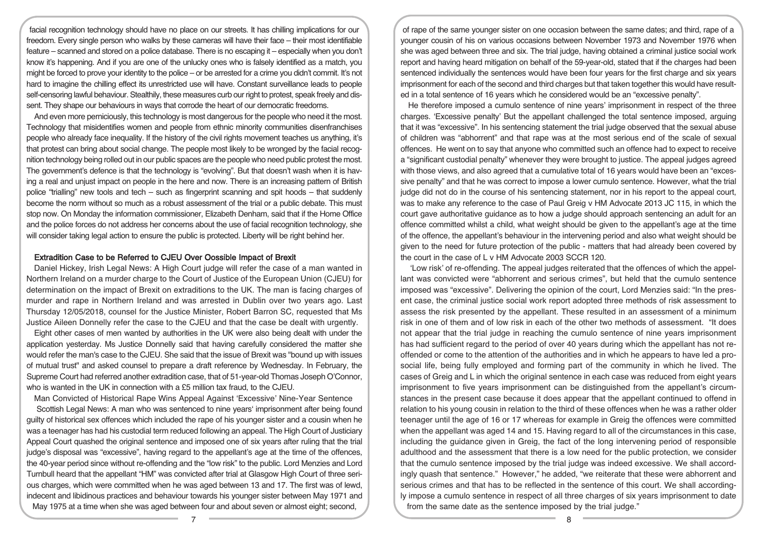facial recognition technology should have no place on our streets. It has chilling implications for our freedom. Every single person who walks by these cameras will have their face – their most identifiable feature – scanned and stored on a police database. There is no escaping it – especially when you don't know it's happening. And if you are one of the unlucky ones who is falsely identified as a match, you might be forced to prove your identity to the police – or be arrested for a crime you didn't commit. It's not hard to imagine the chilling effect its unrestricted use will have. Constant surveillance leads to people self-censoring lawful behaviour. Stealthily, these measures curb our right to protest, speak freely and dissent. They shape our behaviours in ways that corrode the heart of our democratic freedoms.

And even more perniciously, this technology is most dangerous for the people who need it the most. Technology that misidentifies women and people from ethnic minority communities disenfranchises people who already face inequality. If the history of the civil rights movement teaches us anything, it's that protest can bring about social change. The people most likely to be wronged by the facial recognition technology being rolled out in our public spaces are the people who need public protest the most. The government's defence is that the technology is "evolving". But that doesn't wash when it is having a real and unjust impact on people in the here and now. There is an increasing pattern of British police "trialling" new tools and tech – such as fingerprint scanning and spit hoods – that suddenly become the norm without so much as a robust assessment of the trial or a public debate. This must stop now. On Monday the information commissioner, Elizabeth Denham, said that if the Home Office and the police forces do not address her concerns about the use of facial recognition technology, she will consider taking legal action to ensure the public is protected. Liberty will be right behind her.

# Extradition Case to be Referred to CJEU Over Oossible Impact of Brexit

Daniel Hickey, Irish Legal News: A High Court judge will refer the case of a man wanted in Northern Ireland on a murder charge to the Court of Justice of the European Union (CJEU) for determination on the impact of Brexit on extraditions to the UK. The man is facing charges of murder and rape in Northern Ireland and was arrested in Dublin over two years ago. Last Thursday 12/05/2018, counsel for the Justice Minister, Robert Barron SC, requested that Ms Justice Aileen Donnelly refer the case to the CJEU and that the case be dealt with urgently.

Eight other cases of men wanted by authorities in the UK were also being dealt with under the application yesterday. Ms Justice Donnelly said that having carefully considered the matter she would refer the man's case to the CJEU. She said that the issue of Brexit was "bound up with issues of mutual trust" and asked counsel to prepare a draft reference by Wednesday. In February, the Supreme Court had referred another extradition case, that of 51-year-old Thomas Joseph O'Connor, who is wanted in the UK in connection with a £5 million tax fraud, to the CJEU.

Man Convicted of Historical Rape Wins Appeal Against 'Excessive' Nine-Year Sentence

Scottish Legal News: A man who was sentenced to nine years' imprisonment after being found guilty of historical sex offences which included the rape of his younger sister and a cousin when he was a teenager has had his custodial term reduced following an appeal. The High Court of Justiciary Appeal Court quashed the original sentence and imposed one of six years after ruling that the trial judge's disposal was "excessive", having regard to the appellant's age at the time of the offences, the 40-year period since without re-offending and the "low risk" to the public. Lord Menzies and Lord Turnbull heard that the appellant "HM" was convicted after trial at Glasgow High Court of three serious charges, which were committed when he was aged between 13 and 17. The first was of lewd, indecent and libidinous practices and behaviour towards his younger sister between May 1971 and May 1975 at a time when she was aged between four and about seven or almost eight; second,

of rape of the same younger sister on one occasion between the same dates; and third, rape of a younger cousin of his on various occasions between November 1973 and November 1976 when she was aged between three and six. The trial judge, having obtained a criminal justice social work report and having heard mitigation on behalf of the 59-year-old, stated that if the charges had been sentenced individually the sentences would have been four years for the first charge and six years imprisonment for each of the second and third charges but that taken together this would have resulted in a total sentence of 16 years which he considered would be an "excessive penalty".

He therefore imposed a cumulo sentence of nine years' imprisonment in respect of the three charges. 'Excessive penalty' But the appellant challenged the total sentence imposed, arguing that it was "excessive". In his sentencing statement the trial judge observed that the sexual abuse of children was "abhorrent" and that rape was at the most serious end of the scale of sexual offences. He went on to say that anyone who committed such an offence had to expect to receive a "significant custodial penalty" whenever they were brought to justice. The appeal judges agreed with those views, and also agreed that a cumulative total of 16 years would have been an "excessive penalty" and that he was correct to impose a lower cumulo sentence. However, what the trial judge did not do in the course of his sentencing statement, nor in his report to the appeal court, was to make any reference to the case of Paul Greig v HM Advocate 2013 JC 115, in which the court gave authoritative guidance as to how a judge should approach sentencing an adult for an offence committed whilst a child, what weight should be given to the appellant's age at the time of the offence, the appellant's behaviour in the intervening period and also what weight should be given to the need for future protection of the public - matters that had already been covered by the court in the case of L v HM Advocate 2003 SCCR 120.

'Low risk' of re-offending. The appeal judges reiterated that the offences of which the appellant was convicted were "abhorrent and serious crimes", but held that the cumulo sentence imposed was "excessive". Delivering the opinion of the court, Lord Menzies said: "In the present case, the criminal justice social work report adopted three methods of risk assessment to assess the risk presented by the appellant. These resulted in an assessment of a minimum risk in one of them and of low risk in each of the other two methods of assessment. "It does not appear that the trial judge in reaching the cumulo sentence of nine years imprisonment has had sufficient regard to the period of over 40 years during which the appellant has not reoffended or come to the attention of the authorities and in which he appears to have led a prosocial life, being fully employed and forming part of the community in which he lived. The cases of Greig and L in which the original sentence in each case was reduced from eight years imprisonment to five years imprisonment can be distinguished from the appellant's circumstances in the present case because it does appear that the appellant continued to offend in relation to his young cousin in relation to the third of these offences when he was a rather older teenager until the age of 16 or 17 whereas for example in Greig the offences were committed when the appellant was aged 14 and 15. Having regard to all of the circumstances in this case, including the guidance given in Greig, the fact of the long intervening period of responsible adulthood and the assessment that there is a low need for the public protection, we consider that the cumulo sentence imposed by the trial judge was indeed excessive. We shall accordingly quash that sentence." However," he added, "we reiterate that these were abhorrent and serious crimes and that has to be reflected in the sentence of this court. We shall accordingly impose a cumulo sentence in respect of all three charges of six years imprisonment to date from the same date as the sentence imposed by the trial judge."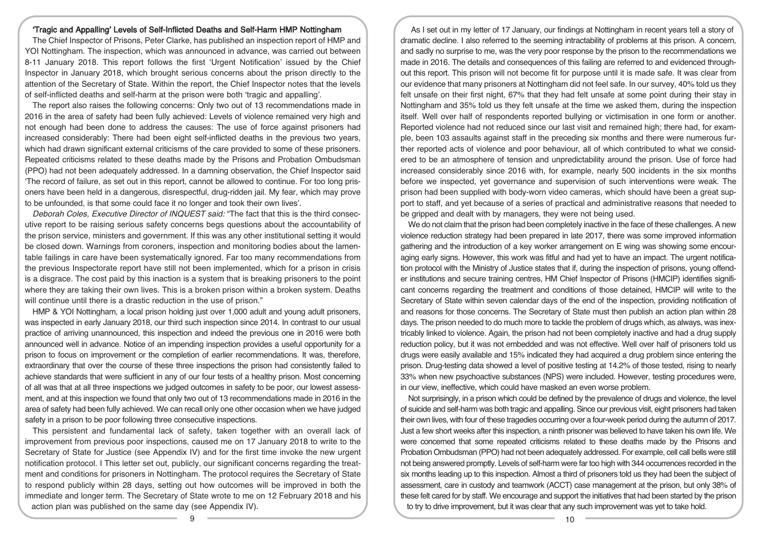### 'Tragic and Appalling' Levels of Self-Inflicted Deaths and Self-Harm HMP Nottingham

The Chief Inspector of Prisons, Peter Clarke, has published an inspection report of HMP and YOI Nottingham. The inspection, which was announced in advance, was carried out between 8-11 January 2018. This report follows the first 'Urgent Notification' issued by the Chief Inspector in January 2018, which brought serious concerns about the prison directly to the attention of the Secretary of State. Within the report, the Chief Inspector notes that the levels of self-inflicted deaths and self-harm at the prison were both 'tragic and appalling'.

The report also raises the following concerns: Only two out of 13 recommendations made in 2016 in the area of safety had been fully achieved: Levels of violence remained very high and not enough had been done to address the causes: The use of force against prisoners had increased considerably: There had been eight self-inflicted deaths in the previous two years, which had drawn significant external criticisms of the care provided to some of these prisoners. Repeated criticisms related to these deaths made by the Prisons and Probation Ombudsman (PPO) had not been adequately addressed. In a damning observation, the Chief Inspector said 'The record of failure, as set out in this report, cannot be allowed to continue. For too long prisoners have been held in a dangerous, disrespectful, drug-ridden jail. My fear, which may prove to be unfounded, is that some could face it no longer and took their own lives'.

Deborah Coles, Executive Director of INQUEST said: "The fact that this is the third consecutive report to be raising serious safety concerns begs questions about the accountability of the prison service, ministers and government. If this was any other institutional setting it would be closed down. Warnings from coroners, inspection and monitoring bodies about the lamentable failings in care have been systematically ignored. Far too many recommendations from the previous Inspectorate report have still not been implemented, which for a prison in crisis is a disgrace. The cost paid by this inaction is a system that is breaking prisoners to the point where they are taking their own lives. This is a broken prison within a broken system. Deaths will continue until there is a drastic reduction in the use of prison."

HMP & YOI Nottingham, a local prison holding just over 1,000 adult and young adult prisoners, was inspected in early January 2018, our third such inspection since 2014. In contrast to our usual practice of arriving unannounced, this inspection and indeed the previous one in 2016 were both announced well in advance. Notice of an impending inspection provides a useful opportunity for a prison to focus on improvement or the completion of earlier recommendations. It was, therefore, extraordinary that over the course of these three inspections the prison had consistently failed to achieve standards that were sufficient in any of our four tests of a healthy prison. Most concerning of all was that at all three inspections we judged outcomes in safety to be poor, our lowest assessment, and at this inspection we found that only two out of 13 recommendations made in 2016 in the area of safety had been fully achieved. We can recall only one other occasion when we have judged safety in a prison to be poor following three consecutive inspections.

This persistent and fundamental lack of safety, taken together with an overall lack of improvement from previous poor inspections, caused me on 17 January 2018 to write to the Secretary of State for Justice (see Appendix IV) and for the first time invoke the new urgent notification protocol. I This letter set out, publicly, our significant concerns regarding the treatment and conditions for prisoners in Nottingham. The protocol requires the Secretary of State to respond publicly within 28 days, setting out how outcomes will be improved in both the immediate and longer term. The Secretary of State wrote to me on 12 February 2018 and his action plan was published on the same day (see Appendix IV).

As I set out in my letter of 17 January, our findings at Nottingham in recent years tell a story of dramatic decline. I also referred to the seeming intractability of problems at this prison. A concern, and sadly no surprise to me, was the very poor response by the prison to the recommendations we made in 2016. The details and consequences of this failing are referred to and evidenced throughout this report. This prison will not become fit for purpose until it is made safe. It was clear from our evidence that many prisoners at Nottingham did not feel safe. In our survey, 40% told us they felt unsafe on their first night, 67% that they had felt unsafe at some point during their stay in Nottingham and 35% told us they felt unsafe at the time we asked them, during the inspection itself. Well over half of respondents reported bullying or victimisation in one form or another. Reported violence had not reduced since our last visit and remained high; there had, for example, been 103 assaults against staff in the preceding six months and there were numerous further reported acts of violence and poor behaviour, all of which contributed to what we considered to be an atmosphere of tension and unpredictability around the prison. Use of force had increased considerably since 2016 with, for example, nearly 500 incidents in the six months before we inspected, yet governance and supervision of such interventions were weak. The prison had been supplied with body-worn video cameras, which should have been a great support to staff, and yet because of a series of practical and administrative reasons that needed to be gripped and dealt with by managers, they were not being used.

We do not claim that the prison had been completely inactive in the face of these challenges. A new violence reduction strategy had been prepared in late 2017, there was some improved information gathering and the introduction of a key worker arrangement on E wing was showing some encouraging early signs. However, this work was fitful and had yet to have an impact. The urgent notification protocol with the Ministry of Justice states that if, during the inspection of prisons, young offender institutions and secure training centres, HM Chief Inspector of Prisons (HMCIP) identifies significant concerns regarding the treatment and conditions of those detained, HMCIP will write to the Secretary of State within seven calendar days of the end of the inspection, providing notification of and reasons for those concerns. The Secretary of State must then publish an action plan within 28 days. The prison needed to do much more to tackle the problem of drugs which, as always, was inextricably linked to violence. Again, the prison had not been completely inactive and had a drug supply reduction policy, but it was not embedded and was not effective. Well over half of prisoners told us drugs were easily available and 15% indicated they had acquired a drug problem since entering the prison. Drug-testing data showed a level of positive testing at 14.2% of those tested, rising to nearly 33% when new psychoactive substances (NPS) were included. However, testing procedures were, in our view, ineffective, which could have masked an even worse problem.

Not surprisingly, in a prison which could be defined by the prevalence of drugs and violence, the level of suicide and self-harm was both tragic and appalling. Since our previous visit, eight prisoners had taken their own lives, with four of these tragedies occurring over a four-week period during the autumn of 2017. Just a few short weeks after this inspection, a ninth prisoner was believed to have taken his own life. We were concerned that some repeated criticisms related to these deaths made by the Prisons and Probation Ombudsman (PPO) had not been adequately addressed. For example, cell call bells were still not being answered promptly. Levels of self-harm were far too high with 344 occurrences recorded in the six months leading up to this inspection. Almost a third of prisoners told us they had been the subject of assessment, care in custody and teamwork (ACCT) case management at the prison, but only 38% of these felt cared for by staff. We encourage and support the initiatives that had been started by the prison to try to drive improvement, but it was clear that any such improvement was yet to take hold.